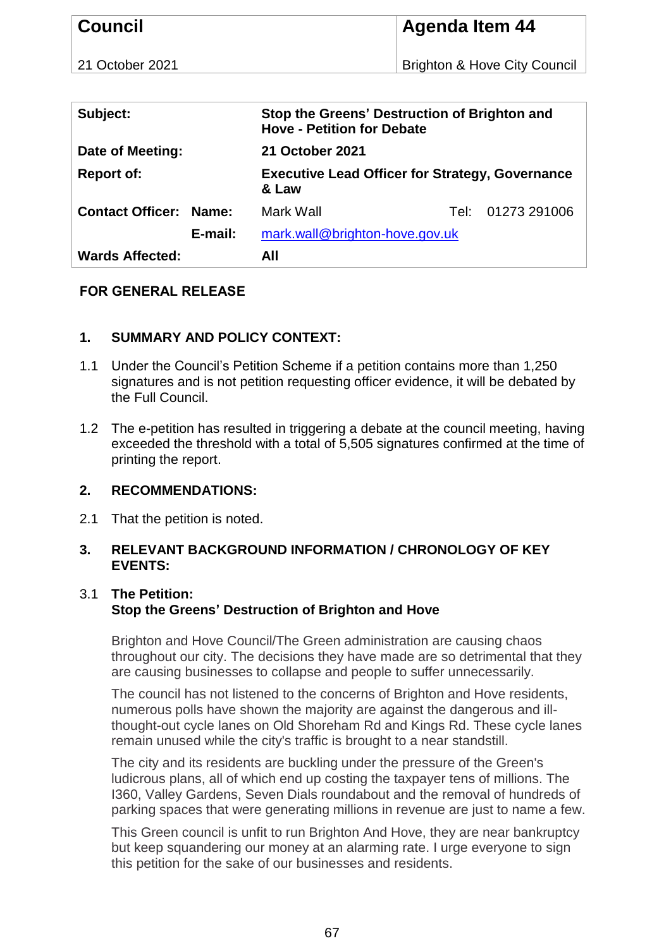| <b>Council</b>                |                                                                 | <b>Agenda Item 44</b>                        |
|-------------------------------|-----------------------------------------------------------------|----------------------------------------------|
| 21 October 2021               |                                                                 | <b>Brighton &amp; Hove City Council</b>      |
|                               |                                                                 |                                              |
| Subject:                      | <b>Hove - Petition for Debate</b>                               | Stop the Greens' Destruction of Brighton and |
| Date of Meeting:              | <b>21 October 2021</b>                                          |                                              |
| <b>Report of:</b>             | <b>Executive Lead Officer for Strategy, Governance</b><br>& Law |                                              |
| <b>Contact Officer: Name:</b> | Mark Wall                                                       | 01273 291006<br>Tel:                         |
| E-mail:                       | mark.wall@brighton-hove.gov.uk                                  |                                              |
| <b>Wards Affected:</b>        | All                                                             |                                              |

# **FOR GENERAL RELEASE**

# **1. SUMMARY AND POLICY CONTEXT:**

- 1.1 Under the Council's Petition Scheme if a petition contains more than 1,250 signatures and is not petition requesting officer evidence, it will be debated by the Full Council.
- 1.2 The e-petition has resulted in triggering a debate at the council meeting, having exceeded the threshold with a total of 5,505 signatures confirmed at the time of printing the report.

#### **2. RECOMMENDATIONS:**

2.1 That the petition is noted.

# **3. RELEVANT BACKGROUND INFORMATION / CHRONOLOGY OF KEY EVENTS:**

# 3.1 **The Petition: Stop the Greens' Destruction of Brighton and Hove**

Brighton and Hove Council/The Green administration are causing chaos throughout our city. The decisions they have made are so detrimental that they are causing businesses to collapse and people to suffer unnecessarily.

The council has not listened to the concerns of Brighton and Hove residents, numerous polls have shown the majority are against the dangerous and illthought-out cycle lanes on Old Shoreham Rd and Kings Rd. These cycle lanes remain unused while the city's traffic is brought to a near standstill.

The city and its residents are buckling under the pressure of the Green's ludicrous plans, all of which end up costing the taxpayer tens of millions. The I360, Valley Gardens, Seven Dials roundabout and the removal of hundreds of parking spaces that were generating millions in revenue are just to name a few.

This Green council is unfit to run Brighton And Hove, they are near bankruptcy but keep squandering our money at an alarming rate. I urge everyone to sign this petition for the sake of our businesses and residents.